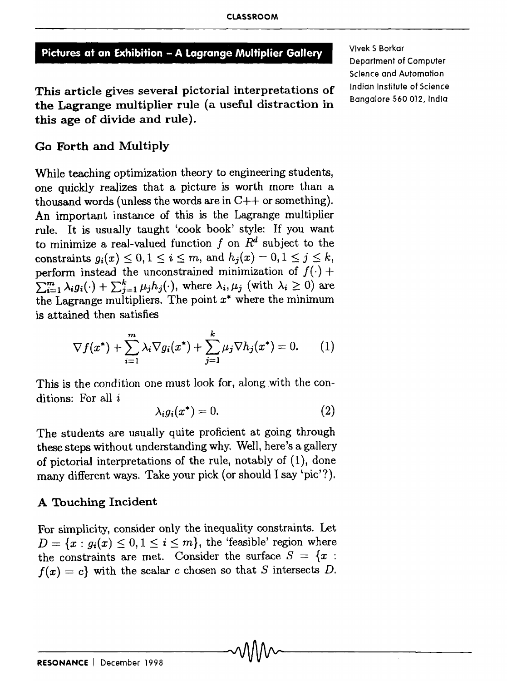# Pictures at an Exhibition - A Lagrange Multiplier Gallery

This article gives several pictorial interpretations of the Lagrange multiplier rule (a useful distraction in this age of divide and rule).

Go Forth and Multiply

While teaching optimization theory to engineering students, one quickly realizes that a picture is worth more than a thousand words (unless the words are in  $C++$  or something). An important instance of this is the Lagrange multiplier rule. It is usually taught 'cook book' style: If you want to minimize a real-valued function f on  $R<sup>d</sup>$  subject to the constraints  $g_i(x) \leq 0, 1 \leq i \leq m$ , and  $h_i(x) = 0, 1 \leq j \leq k$ , perform instead the unconstrained minimization of  $f(\cdot)$  +  $\sum_{i=1}^{m} \lambda_i g_i(\cdot) + \sum_{j=1}^{k} \mu_j h_j(\cdot)$ , where  $\lambda_i, \mu_j$  (with  $\lambda_i \geq 0$ ) are the Lagrange multipliers. The point  $x^*$  where the minimum is attained then satisfies

$$
\nabla f(x^*) + \sum_{i=1}^m \lambda_i \nabla g_i(x^*) + \sum_{j=1}^k \mu_j \nabla h_j(x^*) = 0. \qquad (1)
$$

This is the condition one must look for, along with the conditions: For all  $i$ 

$$
\lambda_i g_i(x^*) = 0. \tag{2}
$$

The students are usually quite proficient at going through these steps without understanding why. Well, here's a gallery of pictorial interpretations of the rule, notably of (1), done many different ways. Take your pick (or should I say 'pic'?).

# A Touching Incident

For simplicity, consider only the inequality constraints. Let  $D = \{x : g_i(x) \leq 0, 1 \leq i \leq m\}$ , the 'feasible' region where the constraints are met. Consider the surface  $S = \{x :$  $f(x) = c$  with the scalar *c* chosen so that *S* intersects *D*.

Vivek S Borkar Department of Computer Science and Automation Indian Institute of Science Bangalore 560 012, India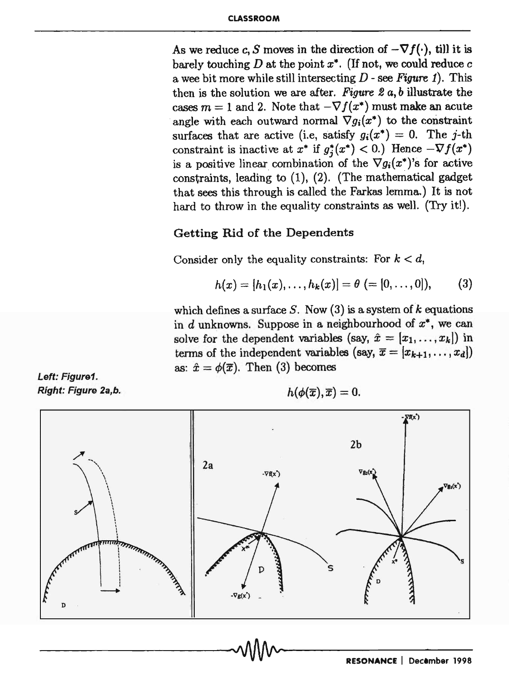As we reduce c, S moves in the direction of  $-\nabla f(\cdot)$ , till it is barely touching  $D$  at the point  $x^*$ . (If not, we could reduce  $c$ a wee bit more while still intersecting *D* - see *Figure* 1). This then is the solution we are after. *Figure* 2 *a, b* illustrate the cases  $m = 1$  and 2. Note that  $-\nabla f(x^*)$  must make an acute angle with each outward normal  $\nabla g_i(x^*)$  to the constraint surfaces that are active (i.e., satisfy  $g_i(x^*) = 0$ . The j-th constraint is inactive at  $x^*$  if  $g_j^*(x^*)$  < 0.) Hence  $-\nabla f(x^*)$ is a positive linear combination of the  $\nabla g_i(x^*)$ 's for active constraints, leading to (1), (2). (The mathematical gadget that sees this through is called the Farkas lemma.) It is not hard to throw in the equality constraints as well. (Try it!).

### Getting Rid of the Dependents

Consider only the equality constraints: For  $k < d$ ,

$$
h(x) = [h_1(x), \ldots, h_k(x)] = \theta (= [0, \ldots, 0]), \qquad (3)
$$

which defines a surface *S.* Now (3) is a system of *k* equations in d unknowns. Suppose in a neighbourhood of *x·,* we can solve for the dependent variables (say,  $\hat{x} = [x_1, \ldots, x_k]$ ) in terms of the independent variables (say,  $\bar{x} = [x_{k+1}, \ldots, x_d]$ ) as:  $\hat{x} = \phi(\overline{x})$ . Then (3) becomes

Left: Figure1. Right: Figure 2a,b.

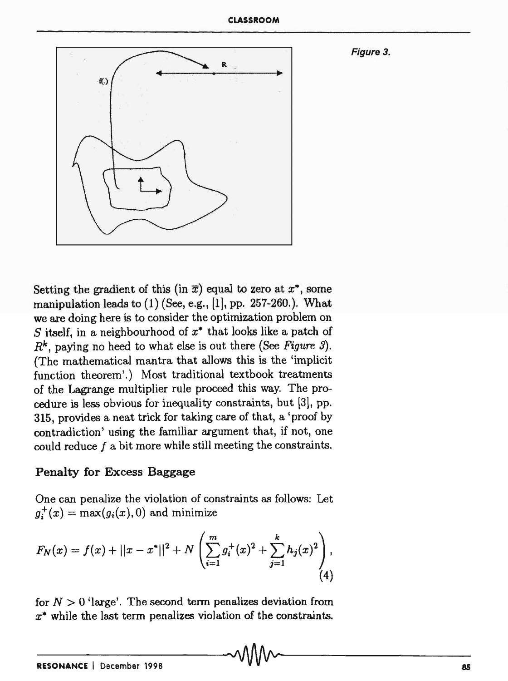

Setting the gradient of this (in  $\bar{x}$ ) equal to zero at  $x^*$ , some manipulation leads to  $(1)$  (See, e.g., [1], pp. 257-260.). What we are doing here is to consider the optimization problem on S itself, in a neighbourhood of  $x^*$  that looks like a patch of  $R^k$ , paying no heed to what else is out there (See Figure 3). (The mathematical mantra that allows this is the 'implicit function theorem'.) Most traditional textbook treatments of the Lagrange multiplier rule proceed this way. The procedure is less obvious for inequality constraints, but {3l, pp. 315, provides a neat trick for taking care of that, a 'proof by contradiction' using the familiar argument that, if not, one could reduce f a bit more while still meeting the constraints.

### Penalty for Excess Baggage

One can penalize the violation of constraints as follows: Let  $g_i^+(x) = \max(g_i(x), 0)$  and minimize

$$
F_N(x) = f(x) + ||x - x^*||^2 + N \left( \sum_{i=1}^m g_i^+(x)^2 + \sum_{j=1}^k h_j(x)^2 \right), \tag{4}
$$

for  $N > 0$  'large'. The second term penalizes deviation from *x·* while the last term penalizes violation of the constraints.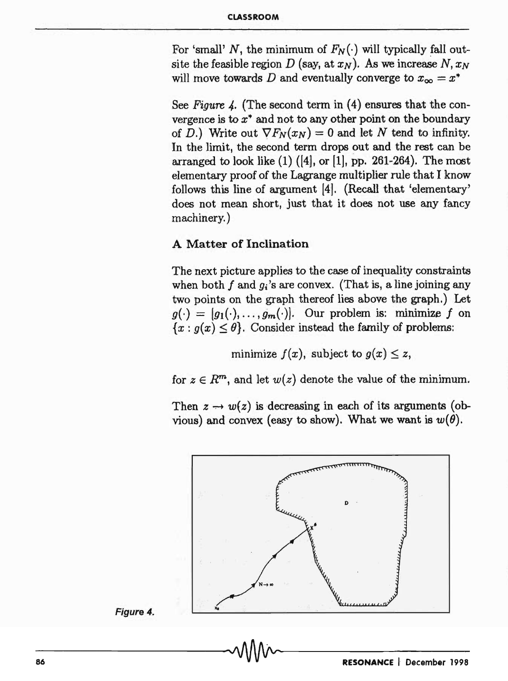For 'small' N, the minimum of  $F_N(\cdot)$  will typically fall outsite the feasible region  $D$  (say, at  $x_N$ ). As we increase  $N, x_N$ will move towards D and eventually converge to  $x_{\infty} = x^*$ 

See *Figure 4*. (The second term in (4) ensures that the convergence is to  $x^*$  and not to any other point on the boundary of *D*.) Write out  $\nabla F_N(x_N) = 0$  and let *N* tend to infinity. In the limit, the second term drops out and the rest can be arranged to look like  $(1)$   $([4],$  or  $[1],$  pp. 261-264). The most elementary proof of the Lagrange multiplier rule that I know follows this line of argument [4). (Recall that 'elementary' does not mean short, just that it does not use any fancy machinery. )

# A Matter of Inclination

The next picture applies to the case of inequality constraints when both f and  $g_i$ 's are convex. (That is, a line joining any two points on the graph thereof lies above the graph.) Let  $g(\cdot) = [g_1(\cdot), \ldots, g_m(\cdot)].$  Our problem is: minimize f on  ${x : g(x) \leq \theta}$ . Consider instead the family of problems:

minimize  $f(x)$ , subject to  $g(x) \leq z$ ,

for  $z \in R^m$ , and let  $w(z)$  denote the value of the minimum.

Then  $z \rightarrow w(z)$  is decreasing in each of its arguments (obvious) and convex (easy to show). What we want is  $w(\theta)$ .



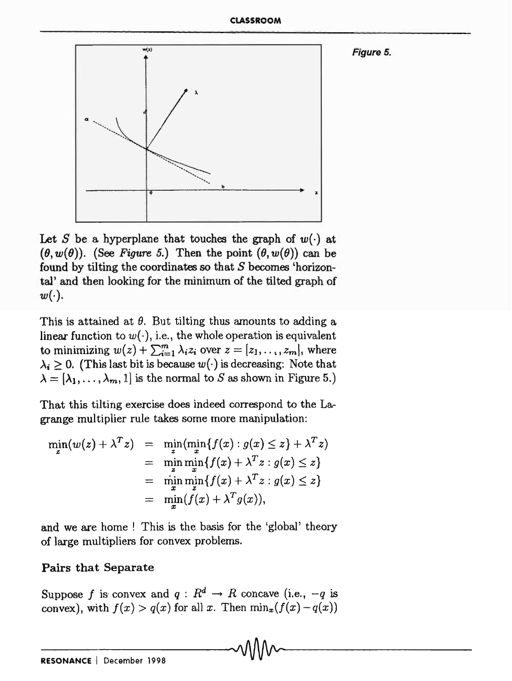Figure 5.



Let S be a hyperplane that touches the graph of  $w(\cdot)$  at  $(\theta, w(\theta))$ . (See *Figure 5.*) Then the point  $(\theta, w(\theta))$  can be found by tilting the coordinates so that  $S$  becomes 'horizontal' and then looking for the minimum of the tilted graph of  $w(\cdot).$ 

This is attained at  $\theta$ . But tilting thus amounts to adding a linear function to  $w(\cdot)$ , i.e., the whole operation is equivalent to minimizing  $w(z) + \sum_{i=1}^{m} \lambda_i z_i$  over  $z = [z_1, \ldots, z_m]$ , where  $\lambda_i \geq 0$ . (This last bit is because  $w(\cdot)$  is decreasing: Note that  $\lambda = [\lambda_1, \ldots, \lambda_m, 1]$  is the normal to *S* as shown in Figure 5.)

That this tilting exercise does indeed correspond to the Lagrange "multiplier rule takes some more manipulation:

$$
\min_{z} (w(z) + \lambda^{T} z) = \min_{z} (\min_{x} \{f(x) : g(x) \leq z\} + \lambda^{T} z)
$$
  
\n
$$
= \min_{z} \min_{x} \{f(x) + \lambda^{T} z : g(x) \leq z\}
$$
  
\n
$$
= \min_{x} \min_{z} \{f(x) + \lambda^{T} z : g(x) \leq z\}
$$
  
\n
$$
= \min_{x} (f(x) + \lambda^{T} g(x)),
$$

and we are home ! This is the basis for the 'global' theory of large multipliers for convex problems.

# Pairs that Separate

Suppose f is convex and  $q: R^d \to R$  concave (i.e.,  $-q$  is convex), with  $f(x) > q(x)$  for all *x*. Then  $\min_x(f(x) - q(x))$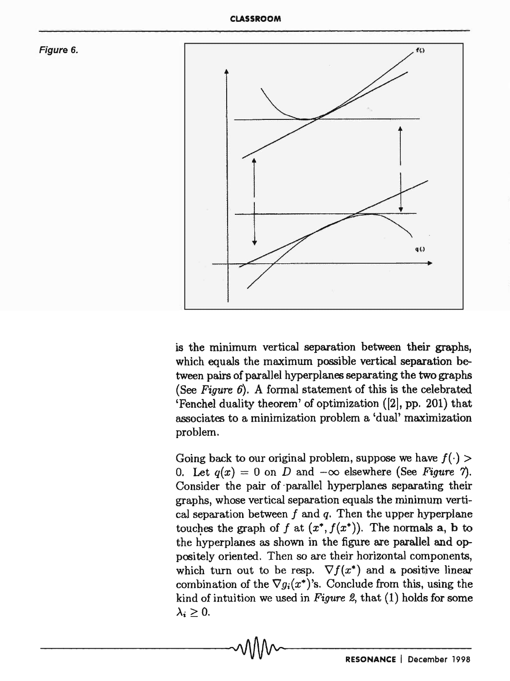



is the minimum vertical separation between their graphs, which equals the maximum possible vertical separation between pairs of parallel hyperplanes separating the two graphs (See *Figure* 6). A formal statement of this is the celebrated 'Fenchel duality theorem' of optimization ([2], pp. 201) that associates to a minimization problem a 'dual' maximization problem.

Going back to our original problem, suppose we have  $f(\cdot)$ 0. Let  $q(x) = 0$  on *D* and  $-\infty$  elsewhere (See *Figure 7*). Consider the pair of parallel hyperplanes separating their graphs, whose vertical separation equals the minimum vertical separation between f and *q.* Then the upper hyperplane touches the graph of f at  $(x^*, f(x^*))$ . The normals a, b to the hyperplanes as shown in the figure are parallel and oppositely oriented. Then so are their horizontal components, which turn out to be resp.  $\nabla f(x^*)$  and a positive linear combination of the  $\nabla g_i(x^*)$ 's. Conclude from this, using the kind of intuition we used in *Figure* 2, that (1) holds for some  $\lambda_i \geq 0$ .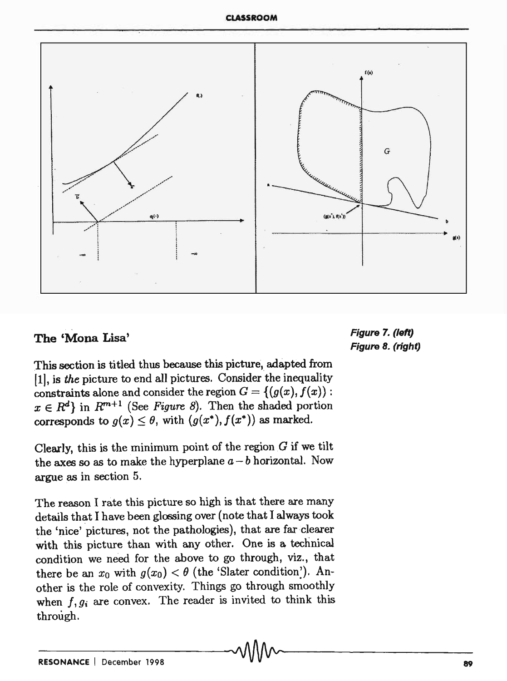#### CLASSROOM



# The 'Mona Lisa'

Figure 7. (Jeft) Figure 8. (right)

This section is titled thus because this picture, adapted from (1], is *the* picture to end all pictures. Consider 'the inequality constraints alone and consider the region  $G = \{(g(x), f(x))$ :  $x \in R^d$  in  $R^{m+1}$  (See Figure 8). Then the shaded portion corresponds to  $g(x) \leq \theta$ , with  $(g(x^*), f(x^*))$  as marked.

Clearly, this is the minimum point of the region  $G$  if we tilt the axes so as to make the hyperplane  $a - b$  horizontal. Now argue as in section 5.

The reason I rate this picture so high is that there are many details that I have been glossing over (note that I always took the 'nice' pictures, not the pathologies), that are far clearer with this picture than with any other. One is a technical condition we need for the above to go through, viz., that there be an  $x_0$  with  $g(x_0) < \theta$  (the 'Slater condition'). Another is the role of convexity. Things go through smoothly when  $f, g_i$  are convex. The reader is invited to think this through.

\_\_\_\_\_\_\_\_\_\_\_\_\_\_\_\_ ,AAnAA, \_\_\_\_\_\_\_\_\_\_\_\_ ~ \_\_